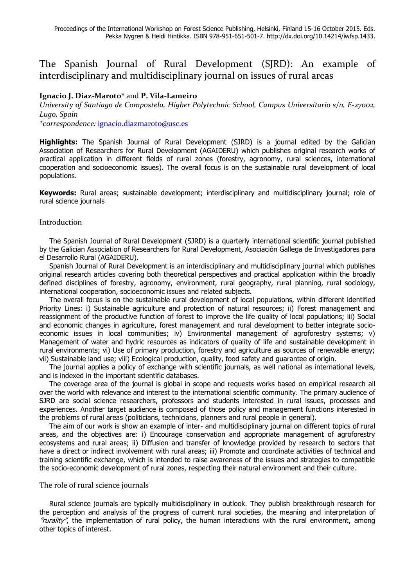# The Spanish Journal of Rural Development (SJRD): An example of interdisciplinary and multidisciplinary journal on issues of rural areas

## **Ignacio J. Diaz-Maroto\*** and **P. Vila-Lameiro**

*University of Santiago de Compostela, Higher Polytechnic School, Campus Universitario s/n, E-27002, Lugo, Spain*

*\*correspondence:* [ignacio.diazmaroto@usc.es](mailto:ignacio.diazmaroto@usc.es)

**Highlights:** The Spanish Journal of Rural Development (SJRD) is a journal edited by the Galician Association of Researchers for Rural Development (AGAIDERU) which publishes original research works of practical application in different fields of rural zones (forestry, agronomy, rural sciences, international cooperation and socioeconomic issues). The overall focus is on the sustainable rural development of local populations.

**Keywords:** Rural areas; sustainable development; interdisciplinary and multidisciplinary journal; role of rural science journals

## Introduction

The Spanish Journal of Rural Development (SJRD) is a quarterly international scientific journal published by the Galician Association of Researchers for Rural Development, Asociación Gallega de Investigadores para el Desarrollo Rural (AGAIDERU).

Spanish Journal of Rural Development is an interdisciplinary and multidisciplinary journal which publishes original research articles covering both theoretical perspectives and practical application within the broadly defined disciplines of forestry, agronomy, environment, rural geography, rural planning, rural sociology, international cooperation, socioeconomic issues and related subjects.

The overall focus is on the sustainable rural development of local populations, within different identified Priority Lines: i) Sustainable agriculture and protection of natural resources; ii) Forest management and reassignment of the productive function of forest to improve the life quality of local populations; iii) Social and economic changes in agriculture, forest management and rural development to better integrate socioeconomic issues in local communities; iv) Environmental management of agroforestry systems; v) Management of water and hydric resources as indicators of quality of life and sustainable development in rural environments; vi) Use of primary production, forestry and agriculture as sources of renewable energy; vii) Sustainable land use; viii) Ecological production, quality, food safety and guarantee of origin.

The journal applies a policy of exchange with scientific journals, as well national as international levels, and is indexed in the important scientific databases.

The coverage area of the journal is global in scope and requests works based on empirical research all over the world with relevance and interest to the international scientific community. The primary audience of SJRD are social science researchers, professors and students interested in rural issues, processes and experiences. Another target audience is composed of those policy and management functions interested in the problems of rural areas (politicians, technicians, planners and rural people in general).

The aim of our work is show an example of inter- and multidisciplinary journal on different topics of rural areas, and the objectives are: i) Encourage conservation and appropriate management of agroforestry ecosystems and rural areas; ii) Diffusion and transfer of knowledge provided by research to sectors that have a direct or indirect involvement with rural areas; iii) Promote and coordinate activities of technical and training scientific exchange, which is intended to raise awareness of the issues and strategies to compatible the socio-economic development of rural zones, respecting their natural environment and their culture.

## The role of rural science journals

Rural science journals are typically multidisciplinary in outlook. They publish breakthrough research for the perception and analysis of the progress of current rural societies, the meaning and interpretation of "rurality", the implementation of rural policy, the human interactions with the rural environment, among other topics of interest.